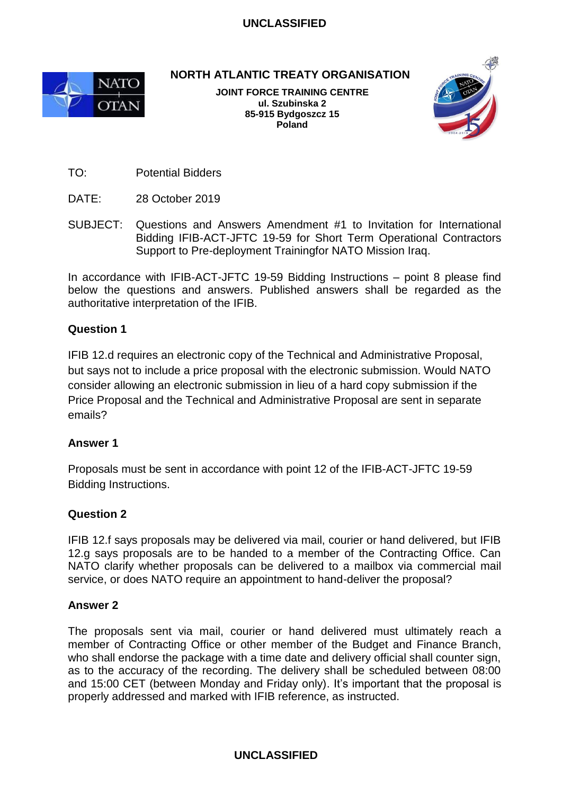

**NORTH ATLANTIC TREATY ORGANISATION**

**JOINT FORCE TRAINING CENTRE ul. Szubinska 2 85-915 Bydgoszcz 15 Poland**



TO: Potential Bidders

- DATE: 28 October 2019
- SUBJECT: Questions and Answers Amendment #1 to Invitation for International Bidding IFIB-ACT-JFTC 19-59 for Short Term Operational Contractors Support to Pre-deployment Trainingfor NATO Mission Iraq.

In accordance with IFIB-ACT-JFTC 19-59 Bidding Instructions – point 8 please find below the questions and answers. Published answers shall be regarded as the authoritative interpretation of the IFIB.

## **Question 1**

IFIB 12.d requires an electronic copy of the Technical and Administrative Proposal, but says not to include a price proposal with the electronic submission. Would NATO consider allowing an electronic submission in lieu of a hard copy submission if the Price Proposal and the Technical and Administrative Proposal are sent in separate emails?

#### **Answer 1**

Proposals must be sent in accordance with point 12 of the IFIB-ACT-JFTC 19-59 Bidding Instructions.

## **Question 2**

IFIB 12.f says proposals may be delivered via mail, courier or hand delivered, but IFIB 12.g says proposals are to be handed to a member of the Contracting Office. Can NATO clarify whether proposals can be delivered to a mailbox via commercial mail service, or does NATO require an appointment to hand-deliver the proposal?

#### **Answer 2**

The proposals sent via mail, courier or hand delivered must ultimately reach a member of Contracting Office or other member of the Budget and Finance Branch, who shall endorse the package with a time date and delivery official shall counter sign, as to the accuracy of the recording. The delivery shall be scheduled between 08:00 and 15:00 CET (between Monday and Friday only). It's important that the proposal is properly addressed and marked with IFIB reference, as instructed.

## **UNCLASSIFIED**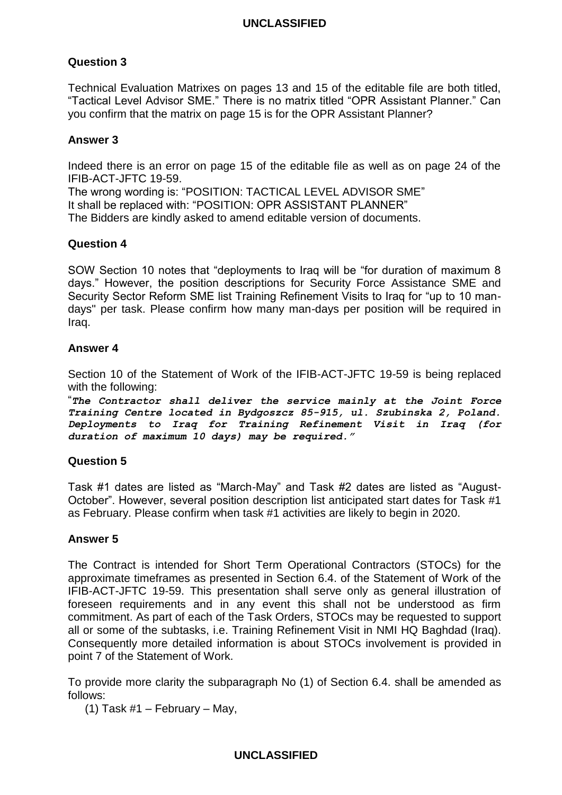# **Question 3**

Technical Evaluation Matrixes on pages 13 and 15 of the editable file are both titled, "Tactical Level Advisor SME." There is no matrix titled "OPR Assistant Planner." Can you confirm that the matrix on page 15 is for the OPR Assistant Planner?

### **Answer 3**

Indeed there is an error on page 15 of the editable file as well as on page 24 of the IFIB-ACT-JFTC 19-59.

The wrong wording is: "POSITION: TACTICAL LEVEL ADVISOR SME" It shall be replaced with: "POSITION: OPR ASSISTANT PLANNER" The Bidders are kindly asked to amend editable version of documents.

### **Question 4**

SOW Section 10 notes that "deployments to Iraq will be "for duration of maximum 8 days." However, the position descriptions for Security Force Assistance SME and Security Sector Reform SME list Training Refinement Visits to Iraq for "up to 10 mandays" per task. Please confirm how many man-days per position will be required in Iraq.

### **Answer 4**

Section 10 of the Statement of Work of the IFIB-ACT-JFTC 19-59 is being replaced with the following:

"*The Contractor shall deliver the service mainly at the Joint Force Training Centre located in Bydgoszcz 85-915, ul. Szubinska 2, Poland. Deployments to Iraq for Training Refinement Visit in Iraq (for duration of maximum 10 days) may be required."*

#### **Question 5**

Task #1 dates are listed as "March-May" and Task #2 dates are listed as "August-October". However, several position description list anticipated start dates for Task #1 as February. Please confirm when task #1 activities are likely to begin in 2020.

#### **Answer 5**

The Contract is intended for Short Term Operational Contractors (STOCs) for the approximate timeframes as presented in Section 6.4. of the Statement of Work of the IFIB-ACT-JFTC 19-59. This presentation shall serve only as general illustration of foreseen requirements and in any event this shall not be understood as firm commitment. As part of each of the Task Orders, STOCs may be requested to support all or some of the subtasks, i.e. Training Refinement Visit in NMI HQ Baghdad (Iraq). Consequently more detailed information is about STOCs involvement is provided in point 7 of the Statement of Work.

To provide more clarity the subparagraph No (1) of Section 6.4. shall be amended as follows:

(1) Task #1 – February – May,

#### **UNCLASSIFIED**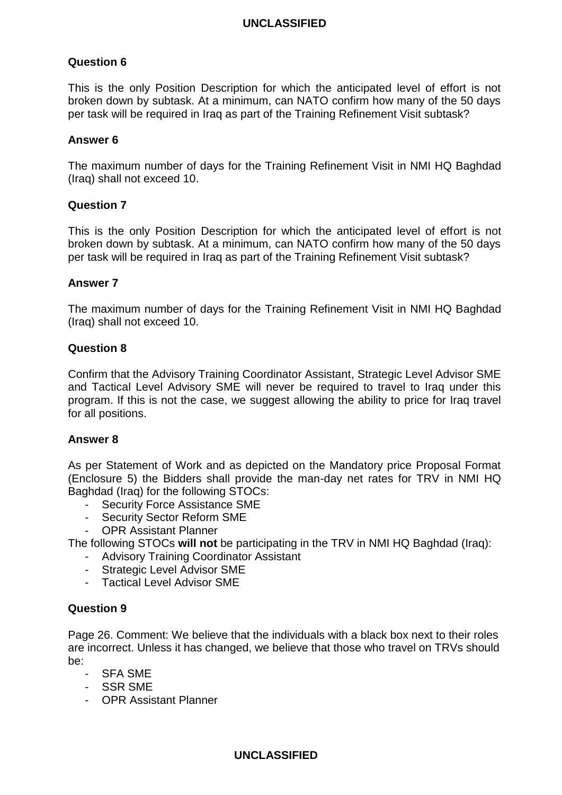# **Question 6**

This is the only Position Description for which the anticipated level of effort is not broken down by subtask. At a minimum, can NATO confirm how many of the 50 days per task will be required in Iraq as part of the Training Refinement Visit subtask?

### **Answer 6**

The maximum number of days for the Training Refinement Visit in NMI HQ Baghdad (Iraq) shall not exceed 10.

### **Question 7**

This is the only Position Description for which the anticipated level of effort is not broken down by subtask. At a minimum, can NATO confirm how many of the 50 days per task will be required in Iraq as part of the Training Refinement Visit subtask?

#### **Answer 7**

The maximum number of days for the Training Refinement Visit in NMI HQ Baghdad (Iraq) shall not exceed 10.

#### **Question 8**

Confirm that the Advisory Training Coordinator Assistant, Strategic Level Advisor SME and Tactical Level Advisory SME will never be required to travel to Iraq under this program. If this is not the case, we suggest allowing the ability to price for Iraq travel for all positions.

#### **Answer 8**

As per Statement of Work and as depicted on the Mandatory price Proposal Format (Enclosure 5) the Bidders shall provide the man-day net rates for TRV in NMI HQ Baghdad (Iraq) for the following STOCs:

- Security Force Assistance SME
- Security Sector Reform SME
- OPR Assistant Planner

The following STOCs **will not** be participating in the TRV in NMI HQ Baghdad (Iraq):

- Advisory Training Coordinator Assistant
- Strategic Level Advisor SME
- Tactical Level Advisor SME

## **Question 9**

Page 26. Comment: We believe that the individuals with a black box next to their roles are incorrect. Unless it has changed, we believe that those who travel on TRVs should be:

- SFA SME
- SSR SME
- OPR Assistant Planner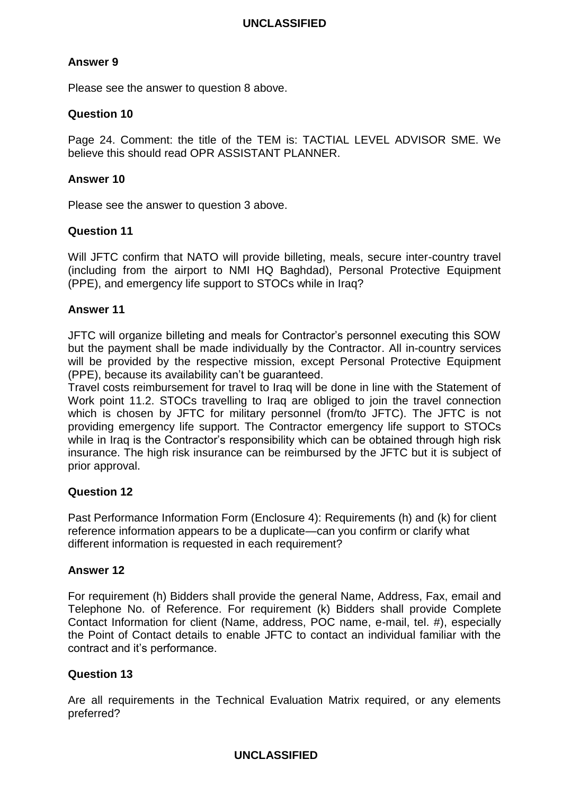# **Answer 9**

Please see the answer to question 8 above.

## **Question 10**

Page 24. Comment: the title of the TEM is: TACTIAL LEVEL ADVISOR SME. We believe this should read OPR ASSISTANT PLANNER.

### **Answer 10**

Please see the answer to question 3 above.

## **Question 11**

Will JFTC confirm that NATO will provide billeting, meals, secure inter-country travel (including from the airport to NMI HQ Baghdad), Personal Protective Equipment (PPE), and emergency life support to STOCs while in Iraq?

## **Answer 11**

JFTC will organize billeting and meals for Contractor's personnel executing this SOW but the payment shall be made individually by the Contractor. All in-country services will be provided by the respective mission, except Personal Protective Equipment (PPE), because its availability can't be guaranteed.

Travel costs reimbursement for travel to Iraq will be done in line with the Statement of Work point 11.2. STOCs travelling to Iraq are obliged to join the travel connection which is chosen by JFTC for military personnel (from/to JFTC). The JFTC is not providing emergency life support. The Contractor emergency life support to STOCs while in Iraq is the Contractor's responsibility which can be obtained through high risk insurance. The high risk insurance can be reimbursed by the JFTC but it is subject of prior approval.

## **Question 12**

Past Performance Information Form (Enclosure 4): Requirements (h) and (k) for client reference information appears to be a duplicate—can you confirm or clarify what different information is requested in each requirement?

## **Answer 12**

For requirement (h) Bidders shall provide the general Name, Address, Fax, email and Telephone No. of Reference. For requirement (k) Bidders shall provide Complete Contact Information for client (Name, address, POC name, e-mail, tel. #), especially the Point of Contact details to enable JFTC to contact an individual familiar with the contract and it's performance.

## **Question 13**

Are all requirements in the Technical Evaluation Matrix required, or any elements preferred?

## **UNCLASSIFIED**